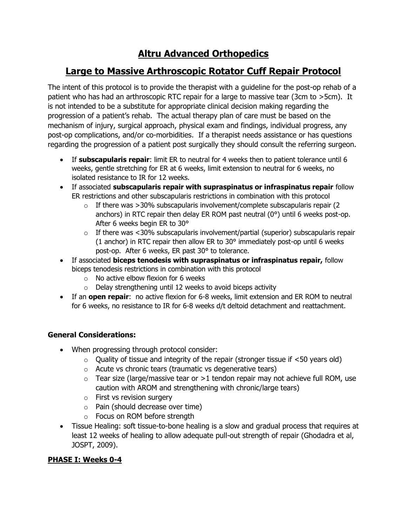# **Altru Advanced Orthopedics**

# **Large to Massive Arthroscopic Rotator Cuff Repair Protocol**

The intent of this protocol is to provide the therapist with a guideline for the post-op rehab of a patient who has had an arthroscopic RTC repair for a large to massive tear (3cm to >5cm). It is not intended to be a substitute for appropriate clinical decision making regarding the progression of a patient's rehab. The actual therapy plan of care must be based on the mechanism of injury, surgical approach, physical exam and findings, individual progress, any post-op complications, and/or co-morbidities. If a therapist needs assistance or has questions regarding the progression of a patient post surgically they should consult the referring surgeon.

- If **subscapularis repair**: limit ER to neutral for 4 weeks then to patient tolerance until 6 weeks, gentle stretching for ER at 6 weeks, limit extension to neutral for 6 weeks, no isolated resistance to IR for 12 weeks.
- If associated **subscapularis repair with supraspinatus or infraspinatus repair** follow ER restrictions and other subscapularis restrictions in combination with this protocol
	- $\circ$  If there was >30% subscapularis involvement/complete subscapularis repair (2) anchors) in RTC repair then delay ER ROM past neutral (0°) until 6 weeks post-op. After 6 weeks begin ER to 30°
	- $\circ$  If there was <30% subscapularis involvement/partial (superior) subscapularis repair (1 anchor) in RTC repair then allow ER to 30° immediately post-op until 6 weeks post-op. After 6 weeks, ER past 30° to tolerance.
- If associated **biceps tenodesis with supraspinatus or infraspinatus repair,** follow biceps tenodesis restrictions in combination with this protocol
	- $\circ$  No active elbow flexion for 6 weeks
	- $\circ$  Delay strengthening until 12 weeks to avoid biceps activity
- If an **open repair**: no active flexion for 6-8 weeks, limit extension and ER ROM to neutral for 6 weeks, no resistance to IR for 6-8 weeks d/t deltoid detachment and reattachment.

# **General Considerations:**

- When progressing through protocol consider:
	- $\circ$  Quality of tissue and integrity of the repair (stronger tissue if  $\lt$ 50 years old)
	- o Acute vs chronic tears (traumatic vs degenerative tears)
	- $\circ$  Tear size (large/massive tear or >1 tendon repair may not achieve full ROM, use caution with AROM and strengthening with chronic/large tears)
	- o First vs revision surgery
	- o Pain (should decrease over time)
	- o Focus on ROM before strength
- Tissue Healing: soft tissue-to-bone healing is a slow and gradual process that requires at least 12 weeks of healing to allow adequate pull-out strength of repair (Ghodadra et al, JOSPT, 2009).

# **PHASE I: Weeks 0-4**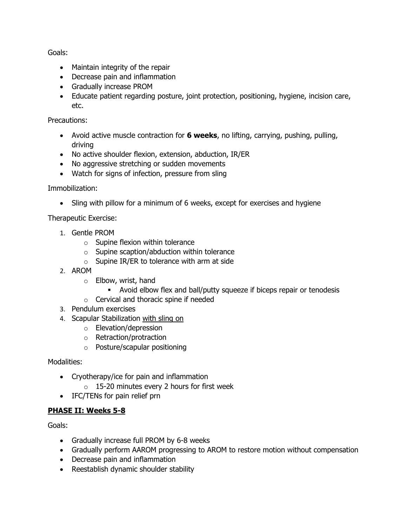Goals:

- Maintain integrity of the repair
- Decrease pain and inflammation
- Gradually increase PROM
- Educate patient regarding posture, joint protection, positioning, hygiene, incision care, etc.

Precautions:

- Avoid active muscle contraction for **6 weeks**, no lifting, carrying, pushing, pulling, driving
- No active shoulder flexion, extension, abduction, IR/ER
- No aggressive stretching or sudden movements
- Watch for signs of infection, pressure from sling

Immobilization:

• Sling with pillow for a minimum of 6 weeks, except for exercises and hygiene

Therapeutic Exercise:

- 1. Gentle PROM
	- $\circ$  Supine flexion within tolerance
	- o Supine scaption/abduction within tolerance
	- $\circ$  Supine IR/ER to tolerance with arm at side
- 2. AROM
	- o Elbow, wrist, hand
		- Avoid elbow flex and ball/putty squeeze if biceps repair or tenodesis
	- o Cervical and thoracic spine if needed
- 3. Pendulum exercises
- 4. Scapular Stabilization with sling on
	- o Elevation/depression
	- o Retraction/protraction
	- o Posture/scapular positioning

Modalities:

- Cryotherapy/ice for pain and inflammation
	- o 15-20 minutes every 2 hours for first week
- IFC/TENs for pain relief prn

#### **PHASE II: Weeks 5-8**

Goals:

- Gradually increase full PROM by 6-8 weeks
- Gradually perform AAROM progressing to AROM to restore motion without compensation
- Decrease pain and inflammation
- Reestablish dynamic shoulder stability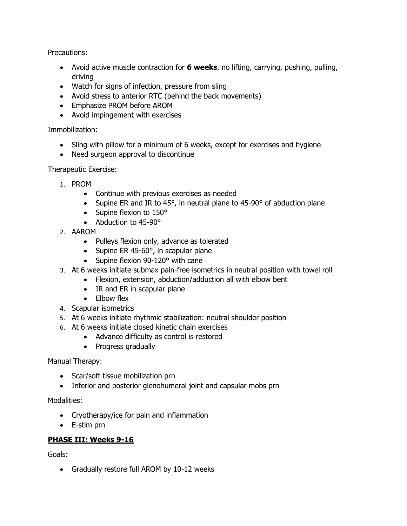Precautions:

- Avoid active muscle contraction for **6 weeks**, no lifting, carrying, pushing, pulling, driving
- Watch for signs of infection, pressure from sling
- Avoid stress to anterior RTC (behind the back movements)
- Emphasize PROM before AROM
- Avoid impingement with exercises

## Immobilization:

- Sling with pillow for a minimum of 6 weeks, except for exercises and hygiene
- Need surgeon approval to discontinue

## Therapeutic Exercise:

- 1. PROM
	- Continue with previous exercises as needed
	- Supine ER and IR to 45°, in neutral plane to 45-90° of abduction plane
	- Supine flexion to 150°
	- Abduction to 45-90°
- 2. AAROM
	- Pulleys flexion only, advance as tolerated
	- Supine ER 45-60°, in scapular plane
	- Supine flexion 90-120° with cane
- 3. At 6 weeks initiate submax pain-free isometrics in neutral position with towel roll
	- Flexion, extension, abduction/adduction all with elbow bent
	- IR and ER in scapular plane
	- Elbow flex
- 4. Scapular isometrics
- 5. At 6 weeks initiate rhythmic stabilization: neutral shoulder position
- 6. At 6 weeks initiate closed kinetic chain exercises
	- Advance difficulty as control is restored
	- Progress gradually

#### Manual Therapy:

- Scar/soft tissue mobilization prn
- Inferior and posterior glenohumeral joint and capsular mobs prn

#### Modalities:

- Cryotherapy/ice for pain and inflammation
- E-stim prn

# **PHASE III: Weeks 9-16**

Goals:

• Gradually restore full AROM by 10-12 weeks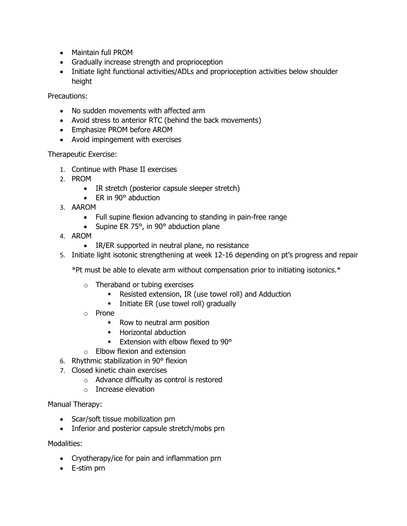- Maintain full PROM
- Gradually increase strength and proprioception
- Initiate light functional activities/ADLs and proprioception activities below shoulder height

Precautions:

- No sudden movements with affected arm
- Avoid stress to anterior RTC (behind the back movements)
- Emphasize PROM before AROM
- Avoid impingement with exercises

Therapeutic Exercise:

- 1. Continue with Phase II exercises
- 2. PROM
	- IR stretch (posterior capsule sleeper stretch)
	- ER in 90° abduction
- 3. AAROM
	- Full supine flexion advancing to standing in pain-free range
	- Supine ER 75°, in 90° abduction plane
- 4. AROM
	- IR/ER supported in neutral plane, no resistance
- 5. Initiate light isotonic strengthening at week 12-16 depending on pt's progress and repair

\*Pt must be able to elevate arm without compensation prior to initiating isotonics.\*

- o Theraband or tubing exercises
	- Resisted extension, IR (use towel roll) and Adduction
	- **·** Initiate ER (use towel roll) gradually
- o Prone
	- Row to neutral arm position
	- Horizontal abduction
	- **Extension with elbow flexed to 90°**
- o Elbow flexion and extension
- 6. Rhythmic stabilization in 90° flexion
- 7. Closed kinetic chain exercises
	- o Advance difficulty as control is restored
	- o Increase elevation

Manual Therapy:

- Scar/soft tissue mobilization prn
- Inferior and posterior capsule stretch/mobs prn

Modalities:

- Cryotherapy/ice for pain and inflammation prn
- E-stim prn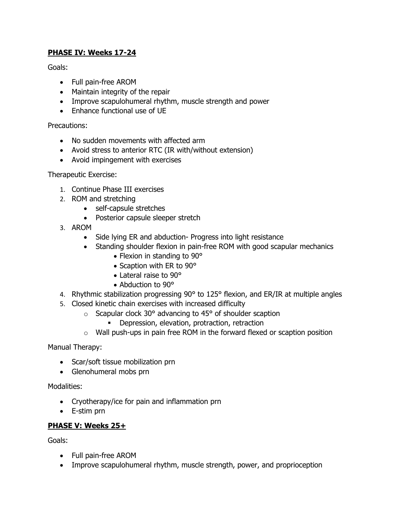## **PHASE IV: Weeks 17-24**

Goals:

- Full pain-free AROM
- Maintain integrity of the repair
- Improve scapulohumeral rhythm, muscle strength and power
- Enhance functional use of UE

Precautions:

- No sudden movements with affected arm
- Avoid stress to anterior RTC (IR with/without extension)
- Avoid impingement with exercises

Therapeutic Exercise:

- 1. Continue Phase III exercises
- 2. ROM and stretching
	- self-capsule stretches
	- Posterior capsule sleeper stretch
- 3. AROM
	- Side lying ER and abduction- Progress into light resistance
	- Standing shoulder flexion in pain-free ROM with good scapular mechanics
		- Flexion in standing to 90°
		- Scaption with ER to 90°
		- Lateral raise to 90°
		- Abduction to 90°
- 4. Rhythmic stabilization progressing 90° to 125° flexion, and ER/IR at multiple angles
- 5. Closed kinetic chain exercises with increased difficulty
	- $\circ$  Scapular clock 30° advancing to 45° of shoulder scaption
		- **•** Depression, elevation, protraction, retraction
	- o Wall push-ups in pain free ROM in the forward flexed or scaption position

Manual Therapy:

- Scar/soft tissue mobilization prn
- Glenohumeral mobs prn

Modalities:

- Cryotherapy/ice for pain and inflammation prn
- E-stim prn

#### **PHASE V: Weeks 25+**

Goals:

- Full pain-free AROM
- Improve scapulohumeral rhythm, muscle strength, power, and proprioception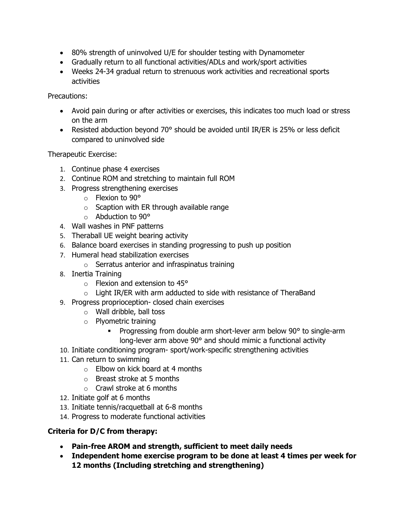- 80% strength of uninvolved U/E for shoulder testing with Dynamometer
- Gradually return to all functional activities/ADLs and work/sport activities
- Weeks 24-34 gradual return to strenuous work activities and recreational sports activities

Precautions:

- Avoid pain during or after activities or exercises, this indicates too much load or stress on the arm
- Resisted abduction beyond 70° should be avoided until IR/ER is 25% or less deficit compared to uninvolved side

Therapeutic Exercise:

- 1. Continue phase 4 exercises
- 2. Continue ROM and stretching to maintain full ROM
- 3. Progress strengthening exercises
	- o Flexion to 90°
	- $\circ$  Scaption with ER through available range
	- o Abduction to 90°
- 4. Wall washes in PNF patterns
- 5. Theraball UE weight bearing activity
- 6. Balance board exercises in standing progressing to push up position
- 7. Humeral head stabilization exercises
	- $\circ$  Serratus anterior and infraspinatus training
- 8. Inertia Training
	- o Flexion and extension to 45°
	- $\circ$  Light IR/ER with arm adducted to side with resistance of TheraBand
- 9. Progress proprioception- closed chain exercises
	- o Wall dribble, ball toss
	- o Plyometric training
		- **•** Progressing from double arm short-lever arm below 90° to single-arm long-lever arm above 90° and should mimic a functional activity
- 10. Initiate conditioning program- sport/work-specific strengthening activities
- 11. Can return to swimming
	- $\circ$  Elbow on kick board at 4 months
	- $\circ$  Breast stroke at 5 months
	- $\circ$  Crawl stroke at 6 months
- 12. Initiate golf at 6 months
- 13. Initiate tennis/racquetball at 6-8 months
- 14. Progress to moderate functional activities

# **Criteria for D/C from therapy:**

- **Pain-free AROM and strength, sufficient to meet daily needs**
- **Independent home exercise program to be done at least 4 times per week for 12 months (Including stretching and strengthening)**